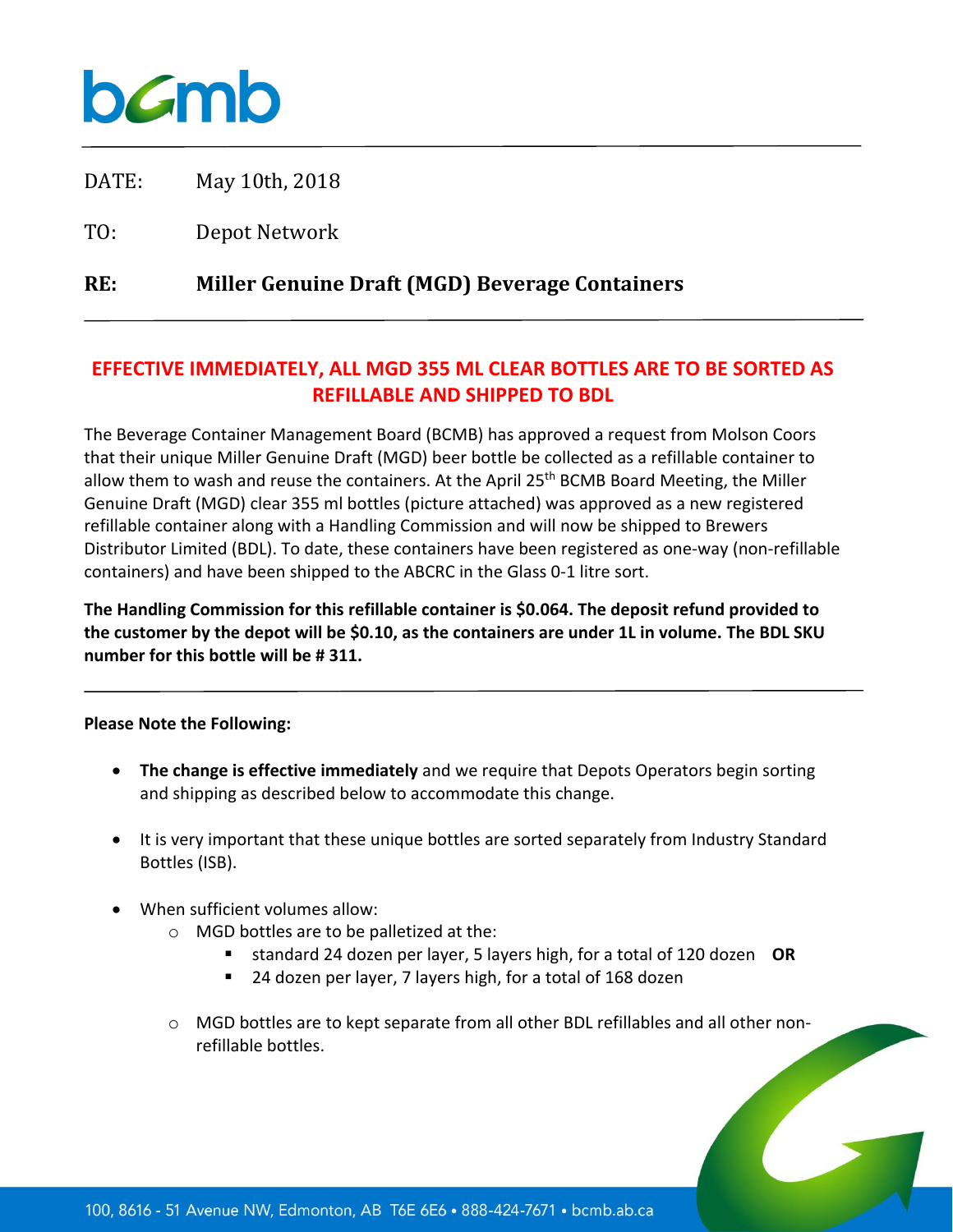

DATE: May 10th, 2018

TO: Depot Network

**RE: Miller Genuine Draft (MGD) Beverage Containers**

## **EFFECTIVE IMMEDIATELY, ALL MGD 355 ML CLEAR BOTTLES ARE TO BE SORTED AS REFILLABLE AND SHIPPED TO BDL**

The Beverage Container Management Board (BCMB) has approved a request from Molson Coors that their unique Miller Genuine Draft (MGD) beer bottle be collected as a refillable container to allow them to wash and reuse the containers. At the April  $25<sup>th</sup>$  BCMB Board Meeting, the Miller Genuine Draft (MGD) clear 355 ml bottles (picture attached) was approved as a new registered refillable container along with a Handling Commission and will now be shipped to Brewers Distributor Limited (BDL). To date, these containers have been registered as one-way (non-refillable containers) and have been shipped to the ABCRC in the Glass 0-1 litre sort.

**The Handling Commission for this refillable container is \$0.064. The deposit refund provided to the customer by the depot will be \$0.10, as the containers are under 1L in volume. The BDL SKU number for this bottle will be # 311.**

## **Please Note the Following:**

- **The change is effective immediately** and we require that Depots Operators begin sorting and shipping as described below to accommodate this change.
- It is very important that these unique bottles are sorted separately from Industry Standard Bottles (ISB).
- When sufficient volumes allow:
	- o MGD bottles are to be palletized at the:
		- standard 24 dozen per layer, 5 layers high, for a total of 120 dozen **OR**
		- 24 dozen per layer, 7 layers high, for a total of 168 dozen
	- $\circ$  MGD bottles are to kept separate from all other BDL refillables and all other nonrefillable bottles.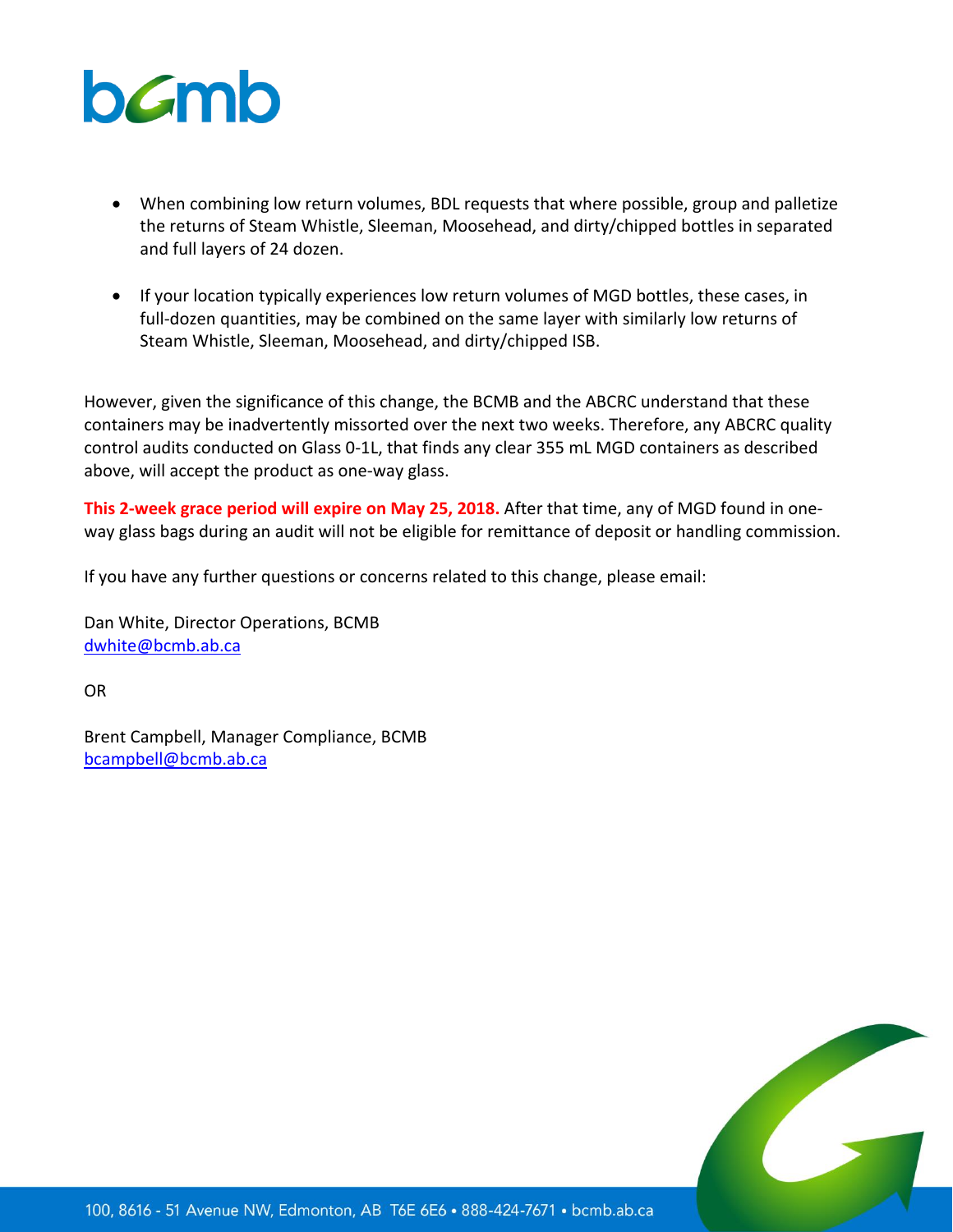

- When combining low return volumes, BDL requests that where possible, group and palletize the returns of Steam Whistle, Sleeman, Moosehead, and dirty/chipped bottles in separated and full layers of 24 dozen.
- If your location typically experiences low return volumes of MGD bottles, these cases, in full-dozen quantities, may be combined on the same layer with similarly low returns of Steam Whistle, Sleeman, Moosehead, and dirty/chipped ISB.

However, given the significance of this change, the BCMB and the ABCRC understand that these containers may be inadvertently missorted over the next two weeks. Therefore, any ABCRC quality control audits conducted on Glass 0-1L, that finds any clear 355 mL MGD containers as described above, will accept the product as one-way glass.

**This 2-week grace period will expire on May 25, 2018.** After that time, any of MGD found in oneway glass bags during an audit will not be eligible for remittance of deposit or handling commission.

If you have any further questions or concerns related to this change, please email:

Dan White, Director Operations, BCMB [dwhite@bcmb.ab.ca](mailto:dwhite@bcmb.ab.ca)

OR

Brent Campbell, Manager Compliance, BCMB [bcampbell@bcmb.ab.ca](mailto:bcampbell@bcmb.ab.ca)